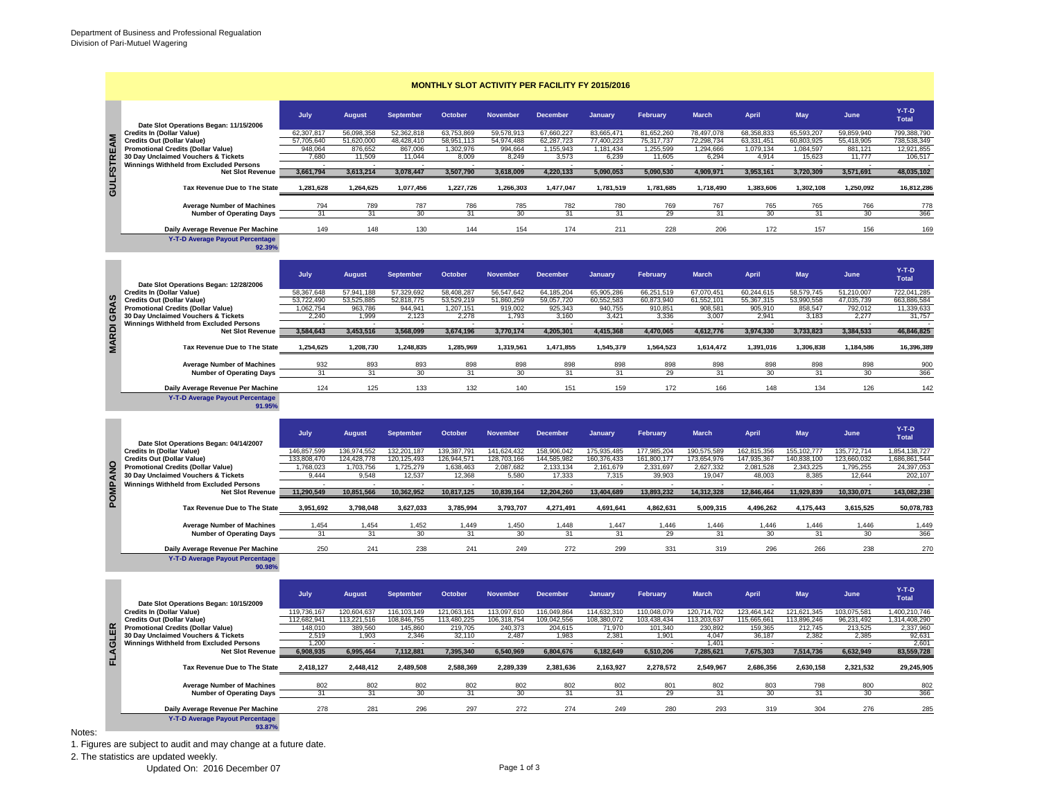| $Y-T-D$<br>July<br><b>February</b><br><b>March</b><br><b>April</b><br>May<br>June<br><b>August</b><br><b>September</b><br>October<br><b>November</b><br><b>December</b><br>January<br>Total<br>Date Slot Operations Began: 11/15/2006<br><b>Credits In (Dollar Value)</b><br>63.753.869<br>83,665,471<br>78.497.078<br>65.593.207<br>59,859,940<br>62.307.817<br>56.098.358<br>52.362.818<br>59.578.913<br>67.660.227<br>81,652,260<br>68.358.833<br><b>GULFSTREAM</b><br><b>Credits Out (Dollar Value)</b><br>51.620.000<br>48.428.410<br>58.951.113<br>54.974.488<br>62,287,723<br>77,400,223<br>75,317,737<br>72.298.734<br>63,331,451<br>60,803,925<br>55,418,905<br>738.538.349<br>57,705,640<br><b>Promotional Credits (Dollar Value)</b><br>948,064<br>876,652<br>867,006<br>1,302,976<br>994.664<br>1,155,943<br>1,181,434<br>1,255,599<br>1,294,666<br>1,079,134<br>1,084,597<br>881,121<br>30 Day Unclaimed Vouchers & Tickets<br>7,680<br>11,509<br>11.044<br>8,009<br>8,249<br>3,573<br>6,239<br>11,605<br>6,294<br>4,914<br>15,623<br>11.777<br>106,517<br>Winnings Withheld from Excluded Persons<br><b>Net Slot Revenue</b><br>3,661,794<br>3,613,214<br>3,078,447<br>3,507,790<br>3,618,009<br>4,220,133<br>5,090,053<br>5,090,530<br>4,909,971<br>3,953,161<br>3,720,309<br>3,571,691<br>Tax Revenue Due to The State<br>1,281,628<br>1,264,625<br>1,077,456<br>1,227,726<br>1,266,303<br>1,477,047<br>1,781,519<br>1,781,685<br>1,718,490<br>1,383,606<br>1,302,108<br>1,250,092<br><b>Average Number of Machines</b><br>794<br>789<br>787<br>786<br>785<br>782<br>780<br>769<br>767<br>765<br>765<br>766<br><b>Number of Operating Days</b><br>31<br>31<br>30<br>31<br>30<br>31<br>31<br>29<br>31<br>30<br>31<br>30<br>149<br>148<br>130<br>228<br>172<br>156<br>Daily Average Revenue Per Machine<br>144<br>154<br>174<br>211<br>206<br>157<br>Y-T-D Average Payout Percentage<br>92.39%<br>$Y-T-D$<br>July<br><b>August</b><br><b>September</b><br>October<br><b>November</b><br><b>December</b><br>January<br>February<br><b>March</b><br><b>April</b><br>May<br>June<br>Total<br>Date Slot Operations Began: 12/28/2006<br><b>Credits In (Dollar Value)</b><br>58,367,648<br>57,941,188<br>57,329,692<br>58,408,287<br>56,547,642<br>64, 185, 204<br>65,905,286<br>66,251,519<br>67,070,451<br>60,244,615<br>58,579,745<br>51,210,007<br>722,041,285<br>GRAS<br><b>Credits Out (Dollar Value)</b><br>53,722,490<br>53,525,885<br>52,818,775<br>53,529,219<br>51,860,259<br>59,057,720<br>60,552,583<br>60,873,940<br>61,552,101<br>55,367,315<br>53,990,558<br>47,035,739<br><b>Promotional Credits (Dollar Value)</b><br>1,062,754<br>963,786<br>944.941<br>1,207,151<br>919,002<br>925,343<br>940,755<br>910,851<br>908,581<br>905,910<br>858,547<br>792,012<br>11,339,633<br>30 Day Unclaimed Vouchers & Tickets<br>2,240<br>1,999<br>2,123<br>2,278<br>1,793<br>3,160<br>3,421<br>3,336<br>3,007<br>2,941<br>3,183<br>2,277<br>31,757<br><b>Winnings Withheld from Excluded Persons</b><br><b>MARDI</b><br><b>Net Slot Revenue</b><br>3,584,643<br>3,453,516<br>3,568,099<br>3,674,196<br>3,770,174<br>4,205,301<br>4,415,368<br>4,470,065<br>4,612,776<br>3,974,330<br>3,733,823<br>3,384,533<br>46,846,825<br>1,254,625<br>1,248,835<br>1,208,730<br>1,285,969<br>1,319,561<br>1,471,855<br>1,545,379<br>1,564,523<br>1,614,472<br>1,391,016<br>1,306,838<br>1,184,586<br>16,396,389<br>Tax Revenue Due to The State<br>932<br>893<br>893<br>898<br>898<br>898<br>898<br>898<br>898<br>898<br>898<br>898<br><b>Average Number of Machines</b><br><b>Number of Operating Days</b><br>31<br>31<br>30<br>31<br>31<br>31<br>29<br>31<br>30<br>31<br>30<br>30<br>124<br>125<br>133<br>132<br>140<br>151<br>159<br>172<br>166<br>148<br>134<br>126<br>Daily Average Revenue Per Machine<br>Y-T-D Average Payout Percentage<br>91.95%<br>$Y-T-D$<br>July<br><b>September</b><br><b>October</b><br><b>December</b><br>February<br><b>March</b><br><b>April</b><br><b>May</b><br>June<br><b>August</b><br><b>November</b><br>January<br>Total<br>Date Slot Operations Began: 04/14/2007<br><b>Credits In (Dollar Value)</b><br>146,857,599<br>139,387,791<br>141,624,432<br>158,906,042<br>175,935,485<br>177,985,204<br>190,575,589<br>162,815,356<br>135,772,714<br>1.854.138.727<br>136,974,552<br>132,201,187<br>155, 102, 777<br><b>Credits Out (Dollar Value)</b><br>133,808,470<br>124,428,778<br>120, 125, 493<br>126,944,571<br>128,703,166<br>144,585,982<br>160,376,433<br>161,800,177<br>173,654,976<br>147,935,367<br>140,838,100<br>123,660,032<br>1,686,861,544<br>POMPANO<br><b>Promotional Credits (Dollar Value)</b><br>1,768,023<br>1,703,756<br>1,725,279<br>1,638,463<br>2,087,682<br>2,133,134<br>2,161,679<br>2,331,697<br>2,627,332<br>2,081,528<br>2,343,225<br>1,795,255<br>30 Day Unclaimed Vouchers & Tickets<br>9,444<br>9,548<br>12,537<br>12,368<br>5,580<br>17,333<br>7,315<br>39,903<br>19,047<br>48,003<br>8,385<br>12,644<br>202,107<br><b>Winnings Withheld from Excluded Persons</b><br>11,290,549<br>10,851,566<br>10,362,952<br>10,817,125<br>10,839,164<br>12,204,260<br>13,404,689<br>13,893,232<br>14,312,328<br>12.846.464<br>11,929,839<br>10,330,071<br><b>Net Slot Revenue</b><br>Tax Revenue Due to The State<br>3,951,692<br>3,798,048<br>3,627,033<br>3,785,994<br>3,793,707<br>4,271,491<br>4,691,641<br>4,862,631<br>5,009,315<br>4,496,262<br>4,175,443<br>3,615,525<br>1.454<br>1.454<br>1,452<br>1.449<br>1,450<br>1.448<br>1.447<br>1.446<br>1.446<br>1.446<br>1.446<br>1.446<br><b>Average Number of Machines</b><br><b>Number of Operating Days</b><br>31<br>31<br>30<br>31<br>30<br>31<br>31<br>29<br>31<br>30<br>31<br>30<br>366<br>250<br>241<br>238<br>249<br>272<br>299<br>331<br>296<br>238<br>Daily Average Revenue Per Machine<br>241<br>319<br>266<br>Y-T-D Average Payout Percentage<br>90.98%<br>$Y-T-D$<br>July<br><b>September</b><br>October<br>February<br><b>March</b><br><b>May</b><br>June<br><b>August</b><br><b>November</b><br><b>December</b><br>January<br><b>April</b><br>Total<br>Date Slot Operations Began: 10/15/2009<br><b>Credits In (Dollar Value)</b><br>119,736,167<br>120,604,637<br>116, 103, 149<br>121,063,161<br>113,097,610<br>116,049,864<br>114,632,310<br>110,048,079<br>120,714,702<br>123,464,142<br>121,621,345<br>103,075,581<br><b>Credits Out (Dollar Value)</b><br>112,682,941<br>113,221,516<br>108,846,755<br>113,480,225<br>106,318,754<br>109,042,556<br>108,380,072<br>103,438,434<br>113,203,637<br>115,665,661<br>113,896,246<br>96,231,492<br><b>Promotional Credits (Dollar Value)</b><br>FLAGLER<br>148,010<br>389,560<br>145,860<br>219,705<br>240.373<br>204,615<br>71.970<br>101.340<br>230,892<br>159,365<br>212,745<br>213,525<br>2,337,960<br>30 Day Unclaimed Vouchers & Tickets<br>2.519<br>1.903<br>2.346<br>32,110<br>2.487<br>1.983<br>2.381<br>1.901<br>4.047<br>36.187<br>2.382<br>2.385<br><b>Winnings Withheld from Excluded Persons</b><br>1,200<br>1,401<br><b>Net Slot Revenue</b><br>6,908,935<br>6,995,464<br>7,112,881<br>7,395,340<br>6,540,969<br>6,804,676<br>6,182,649<br>6,510,206<br>7,285,621<br>7,675,303<br>7,514,736<br>6,632,949<br>83,559,728 |  |  |  |  | <b>MONTHLY SLOT ACTIVITY PER FACILITY FY 2015/2016</b> |  |  |               |
|------------------------------------------------------------------------------------------------------------------------------------------------------------------------------------------------------------------------------------------------------------------------------------------------------------------------------------------------------------------------------------------------------------------------------------------------------------------------------------------------------------------------------------------------------------------------------------------------------------------------------------------------------------------------------------------------------------------------------------------------------------------------------------------------------------------------------------------------------------------------------------------------------------------------------------------------------------------------------------------------------------------------------------------------------------------------------------------------------------------------------------------------------------------------------------------------------------------------------------------------------------------------------------------------------------------------------------------------------------------------------------------------------------------------------------------------------------------------------------------------------------------------------------------------------------------------------------------------------------------------------------------------------------------------------------------------------------------------------------------------------------------------------------------------------------------------------------------------------------------------------------------------------------------------------------------------------------------------------------------------------------------------------------------------------------------------------------------------------------------------------------------------------------------------------------------------------------------------------------------------------------------------------------------------------------------------------------------------------------------------------------------------------------------------------------------------------------------------------------------------------------------------------------------------------------------------------------------------------------------------------------------------------------------------------------------------------------------------------------------------------------------------------------------------------------------------------------------------------------------------------------------------------------------------------------------------------------------------------------------------------------------------------------------------------------------------------------------------------------------------------------------------------------------------------------------------------------------------------------------------------------------------------------------------------------------------------------------------------------------------------------------------------------------------------------------------------------------------------------------------------------------------------------------------------------------------------------------------------------------------------------------------------------------------------------------------------------------------------------------------------------------------------------------------------------------------------------------------------------------------------------------------------------------------------------------------------------------------------------------------------------------------------------------------------------------------------------------------------------------------------------------------------------------------------------------------------------------------------------------------------------------------------------------------------------------------------------------------------------------------------------------------------------------------------------------------------------------------------------------------------------------------------------------------------------------------------------------------------------------------------------------------------------------------------------------------------------------------------------------------------------------------------------------------------------------------------------------------------------------------------------------------------------------------------------------------------------------------------------------------------------------------------------------------------------------------------------------------------------------------------------------------------------------------------------------------------------------------------------------------------------------------------------------------------------------------------------------------------------------------------------------------------------------------------------------------------------------------------------------------------------------------------------------------------------------------------------------------------------------------------------------------------------------------------------------------------------------------------------------------------------------------------------------------------------------------------------------------------------------------------------------------------------------------------------------------------------------------------------------------------------------------------------------------------------------------------------------------------------------------------------------------------------------------------------------------------------------------------------------------------------------------------------------------------------------------------------------------------------------------------------------------------------------------------------------------------------------------------------------------------------------------------------------------------------------------------------------------------------------------------------------------------------------------------------------------------------------------------------------------------------------------------------------------------------------------------------------------------------------------------------------------------------------------------------------------------------------------------------------------------------------------------------------------------------------------------------------------------------------------------------------------------------------------------------------------------------------------|--|--|--|--|--------------------------------------------------------|--|--|---------------|
|                                                                                                                                                                                                                                                                                                                                                                                                                                                                                                                                                                                                                                                                                                                                                                                                                                                                                                                                                                                                                                                                                                                                                                                                                                                                                                                                                                                                                                                                                                                                                                                                                                                                                                                                                                                                                                                                                                                                                                                                                                                                                                                                                                                                                                                                                                                                                                                                                                                                                                                                                                                                                                                                                                                                                                                                                                                                                                                                                                                                                                                                                                                                                                                                                                                                                                                                                                                                                                                                                                                                                                                                                                                                                                                                                                                                                                                                                                                                                                                                                                                                                                                                                                                                                                                                                                                                                                                                                                                                                                                                                                                                                                                                                                                                                                                                                                                                                                                                                                                                                                                                                                                                                                                                                                                                                                                                                                                                                                                                                                                                                                                                                                                                                                                                                                                                                                                                                                                                                                                                                                                                                                                                                                                                                                                                                                                                                                                                                                                                                                                                                                                                                                                                                                                                                                                                                                                                                                                                                                                                                                                                                                                                                                                                                        |  |  |  |  |                                                        |  |  |               |
|                                                                                                                                                                                                                                                                                                                                                                                                                                                                                                                                                                                                                                                                                                                                                                                                                                                                                                                                                                                                                                                                                                                                                                                                                                                                                                                                                                                                                                                                                                                                                                                                                                                                                                                                                                                                                                                                                                                                                                                                                                                                                                                                                                                                                                                                                                                                                                                                                                                                                                                                                                                                                                                                                                                                                                                                                                                                                                                                                                                                                                                                                                                                                                                                                                                                                                                                                                                                                                                                                                                                                                                                                                                                                                                                                                                                                                                                                                                                                                                                                                                                                                                                                                                                                                                                                                                                                                                                                                                                                                                                                                                                                                                                                                                                                                                                                                                                                                                                                                                                                                                                                                                                                                                                                                                                                                                                                                                                                                                                                                                                                                                                                                                                                                                                                                                                                                                                                                                                                                                                                                                                                                                                                                                                                                                                                                                                                                                                                                                                                                                                                                                                                                                                                                                                                                                                                                                                                                                                                                                                                                                                                                                                                                                                                        |  |  |  |  |                                                        |  |  | 799.388.790   |
|                                                                                                                                                                                                                                                                                                                                                                                                                                                                                                                                                                                                                                                                                                                                                                                                                                                                                                                                                                                                                                                                                                                                                                                                                                                                                                                                                                                                                                                                                                                                                                                                                                                                                                                                                                                                                                                                                                                                                                                                                                                                                                                                                                                                                                                                                                                                                                                                                                                                                                                                                                                                                                                                                                                                                                                                                                                                                                                                                                                                                                                                                                                                                                                                                                                                                                                                                                                                                                                                                                                                                                                                                                                                                                                                                                                                                                                                                                                                                                                                                                                                                                                                                                                                                                                                                                                                                                                                                                                                                                                                                                                                                                                                                                                                                                                                                                                                                                                                                                                                                                                                                                                                                                                                                                                                                                                                                                                                                                                                                                                                                                                                                                                                                                                                                                                                                                                                                                                                                                                                                                                                                                                                                                                                                                                                                                                                                                                                                                                                                                                                                                                                                                                                                                                                                                                                                                                                                                                                                                                                                                                                                                                                                                                                                        |  |  |  |  |                                                        |  |  | 12,921,855    |
|                                                                                                                                                                                                                                                                                                                                                                                                                                                                                                                                                                                                                                                                                                                                                                                                                                                                                                                                                                                                                                                                                                                                                                                                                                                                                                                                                                                                                                                                                                                                                                                                                                                                                                                                                                                                                                                                                                                                                                                                                                                                                                                                                                                                                                                                                                                                                                                                                                                                                                                                                                                                                                                                                                                                                                                                                                                                                                                                                                                                                                                                                                                                                                                                                                                                                                                                                                                                                                                                                                                                                                                                                                                                                                                                                                                                                                                                                                                                                                                                                                                                                                                                                                                                                                                                                                                                                                                                                                                                                                                                                                                                                                                                                                                                                                                                                                                                                                                                                                                                                                                                                                                                                                                                                                                                                                                                                                                                                                                                                                                                                                                                                                                                                                                                                                                                                                                                                                                                                                                                                                                                                                                                                                                                                                                                                                                                                                                                                                                                                                                                                                                                                                                                                                                                                                                                                                                                                                                                                                                                                                                                                                                                                                                                                        |  |  |  |  |                                                        |  |  |               |
|                                                                                                                                                                                                                                                                                                                                                                                                                                                                                                                                                                                                                                                                                                                                                                                                                                                                                                                                                                                                                                                                                                                                                                                                                                                                                                                                                                                                                                                                                                                                                                                                                                                                                                                                                                                                                                                                                                                                                                                                                                                                                                                                                                                                                                                                                                                                                                                                                                                                                                                                                                                                                                                                                                                                                                                                                                                                                                                                                                                                                                                                                                                                                                                                                                                                                                                                                                                                                                                                                                                                                                                                                                                                                                                                                                                                                                                                                                                                                                                                                                                                                                                                                                                                                                                                                                                                                                                                                                                                                                                                                                                                                                                                                                                                                                                                                                                                                                                                                                                                                                                                                                                                                                                                                                                                                                                                                                                                                                                                                                                                                                                                                                                                                                                                                                                                                                                                                                                                                                                                                                                                                                                                                                                                                                                                                                                                                                                                                                                                                                                                                                                                                                                                                                                                                                                                                                                                                                                                                                                                                                                                                                                                                                                                                        |  |  |  |  |                                                        |  |  | 48.035.102    |
|                                                                                                                                                                                                                                                                                                                                                                                                                                                                                                                                                                                                                                                                                                                                                                                                                                                                                                                                                                                                                                                                                                                                                                                                                                                                                                                                                                                                                                                                                                                                                                                                                                                                                                                                                                                                                                                                                                                                                                                                                                                                                                                                                                                                                                                                                                                                                                                                                                                                                                                                                                                                                                                                                                                                                                                                                                                                                                                                                                                                                                                                                                                                                                                                                                                                                                                                                                                                                                                                                                                                                                                                                                                                                                                                                                                                                                                                                                                                                                                                                                                                                                                                                                                                                                                                                                                                                                                                                                                                                                                                                                                                                                                                                                                                                                                                                                                                                                                                                                                                                                                                                                                                                                                                                                                                                                                                                                                                                                                                                                                                                                                                                                                                                                                                                                                                                                                                                                                                                                                                                                                                                                                                                                                                                                                                                                                                                                                                                                                                                                                                                                                                                                                                                                                                                                                                                                                                                                                                                                                                                                                                                                                                                                                                                        |  |  |  |  |                                                        |  |  | 16,812,286    |
|                                                                                                                                                                                                                                                                                                                                                                                                                                                                                                                                                                                                                                                                                                                                                                                                                                                                                                                                                                                                                                                                                                                                                                                                                                                                                                                                                                                                                                                                                                                                                                                                                                                                                                                                                                                                                                                                                                                                                                                                                                                                                                                                                                                                                                                                                                                                                                                                                                                                                                                                                                                                                                                                                                                                                                                                                                                                                                                                                                                                                                                                                                                                                                                                                                                                                                                                                                                                                                                                                                                                                                                                                                                                                                                                                                                                                                                                                                                                                                                                                                                                                                                                                                                                                                                                                                                                                                                                                                                                                                                                                                                                                                                                                                                                                                                                                                                                                                                                                                                                                                                                                                                                                                                                                                                                                                                                                                                                                                                                                                                                                                                                                                                                                                                                                                                                                                                                                                                                                                                                                                                                                                                                                                                                                                                                                                                                                                                                                                                                                                                                                                                                                                                                                                                                                                                                                                                                                                                                                                                                                                                                                                                                                                                                                        |  |  |  |  |                                                        |  |  | 778           |
|                                                                                                                                                                                                                                                                                                                                                                                                                                                                                                                                                                                                                                                                                                                                                                                                                                                                                                                                                                                                                                                                                                                                                                                                                                                                                                                                                                                                                                                                                                                                                                                                                                                                                                                                                                                                                                                                                                                                                                                                                                                                                                                                                                                                                                                                                                                                                                                                                                                                                                                                                                                                                                                                                                                                                                                                                                                                                                                                                                                                                                                                                                                                                                                                                                                                                                                                                                                                                                                                                                                                                                                                                                                                                                                                                                                                                                                                                                                                                                                                                                                                                                                                                                                                                                                                                                                                                                                                                                                                                                                                                                                                                                                                                                                                                                                                                                                                                                                                                                                                                                                                                                                                                                                                                                                                                                                                                                                                                                                                                                                                                                                                                                                                                                                                                                                                                                                                                                                                                                                                                                                                                                                                                                                                                                                                                                                                                                                                                                                                                                                                                                                                                                                                                                                                                                                                                                                                                                                                                                                                                                                                                                                                                                                                                        |  |  |  |  |                                                        |  |  | 366           |
|                                                                                                                                                                                                                                                                                                                                                                                                                                                                                                                                                                                                                                                                                                                                                                                                                                                                                                                                                                                                                                                                                                                                                                                                                                                                                                                                                                                                                                                                                                                                                                                                                                                                                                                                                                                                                                                                                                                                                                                                                                                                                                                                                                                                                                                                                                                                                                                                                                                                                                                                                                                                                                                                                                                                                                                                                                                                                                                                                                                                                                                                                                                                                                                                                                                                                                                                                                                                                                                                                                                                                                                                                                                                                                                                                                                                                                                                                                                                                                                                                                                                                                                                                                                                                                                                                                                                                                                                                                                                                                                                                                                                                                                                                                                                                                                                                                                                                                                                                                                                                                                                                                                                                                                                                                                                                                                                                                                                                                                                                                                                                                                                                                                                                                                                                                                                                                                                                                                                                                                                                                                                                                                                                                                                                                                                                                                                                                                                                                                                                                                                                                                                                                                                                                                                                                                                                                                                                                                                                                                                                                                                                                                                                                                                                        |  |  |  |  |                                                        |  |  | 169           |
|                                                                                                                                                                                                                                                                                                                                                                                                                                                                                                                                                                                                                                                                                                                                                                                                                                                                                                                                                                                                                                                                                                                                                                                                                                                                                                                                                                                                                                                                                                                                                                                                                                                                                                                                                                                                                                                                                                                                                                                                                                                                                                                                                                                                                                                                                                                                                                                                                                                                                                                                                                                                                                                                                                                                                                                                                                                                                                                                                                                                                                                                                                                                                                                                                                                                                                                                                                                                                                                                                                                                                                                                                                                                                                                                                                                                                                                                                                                                                                                                                                                                                                                                                                                                                                                                                                                                                                                                                                                                                                                                                                                                                                                                                                                                                                                                                                                                                                                                                                                                                                                                                                                                                                                                                                                                                                                                                                                                                                                                                                                                                                                                                                                                                                                                                                                                                                                                                                                                                                                                                                                                                                                                                                                                                                                                                                                                                                                                                                                                                                                                                                                                                                                                                                                                                                                                                                                                                                                                                                                                                                                                                                                                                                                                                        |  |  |  |  |                                                        |  |  |               |
|                                                                                                                                                                                                                                                                                                                                                                                                                                                                                                                                                                                                                                                                                                                                                                                                                                                                                                                                                                                                                                                                                                                                                                                                                                                                                                                                                                                                                                                                                                                                                                                                                                                                                                                                                                                                                                                                                                                                                                                                                                                                                                                                                                                                                                                                                                                                                                                                                                                                                                                                                                                                                                                                                                                                                                                                                                                                                                                                                                                                                                                                                                                                                                                                                                                                                                                                                                                                                                                                                                                                                                                                                                                                                                                                                                                                                                                                                                                                                                                                                                                                                                                                                                                                                                                                                                                                                                                                                                                                                                                                                                                                                                                                                                                                                                                                                                                                                                                                                                                                                                                                                                                                                                                                                                                                                                                                                                                                                                                                                                                                                                                                                                                                                                                                                                                                                                                                                                                                                                                                                                                                                                                                                                                                                                                                                                                                                                                                                                                                                                                                                                                                                                                                                                                                                                                                                                                                                                                                                                                                                                                                                                                                                                                                                        |  |  |  |  |                                                        |  |  |               |
|                                                                                                                                                                                                                                                                                                                                                                                                                                                                                                                                                                                                                                                                                                                                                                                                                                                                                                                                                                                                                                                                                                                                                                                                                                                                                                                                                                                                                                                                                                                                                                                                                                                                                                                                                                                                                                                                                                                                                                                                                                                                                                                                                                                                                                                                                                                                                                                                                                                                                                                                                                                                                                                                                                                                                                                                                                                                                                                                                                                                                                                                                                                                                                                                                                                                                                                                                                                                                                                                                                                                                                                                                                                                                                                                                                                                                                                                                                                                                                                                                                                                                                                                                                                                                                                                                                                                                                                                                                                                                                                                                                                                                                                                                                                                                                                                                                                                                                                                                                                                                                                                                                                                                                                                                                                                                                                                                                                                                                                                                                                                                                                                                                                                                                                                                                                                                                                                                                                                                                                                                                                                                                                                                                                                                                                                                                                                                                                                                                                                                                                                                                                                                                                                                                                                                                                                                                                                                                                                                                                                                                                                                                                                                                                                                        |  |  |  |  |                                                        |  |  |               |
|                                                                                                                                                                                                                                                                                                                                                                                                                                                                                                                                                                                                                                                                                                                                                                                                                                                                                                                                                                                                                                                                                                                                                                                                                                                                                                                                                                                                                                                                                                                                                                                                                                                                                                                                                                                                                                                                                                                                                                                                                                                                                                                                                                                                                                                                                                                                                                                                                                                                                                                                                                                                                                                                                                                                                                                                                                                                                                                                                                                                                                                                                                                                                                                                                                                                                                                                                                                                                                                                                                                                                                                                                                                                                                                                                                                                                                                                                                                                                                                                                                                                                                                                                                                                                                                                                                                                                                                                                                                                                                                                                                                                                                                                                                                                                                                                                                                                                                                                                                                                                                                                                                                                                                                                                                                                                                                                                                                                                                                                                                                                                                                                                                                                                                                                                                                                                                                                                                                                                                                                                                                                                                                                                                                                                                                                                                                                                                                                                                                                                                                                                                                                                                                                                                                                                                                                                                                                                                                                                                                                                                                                                                                                                                                                                        |  |  |  |  |                                                        |  |  | 663,886,584   |
|                                                                                                                                                                                                                                                                                                                                                                                                                                                                                                                                                                                                                                                                                                                                                                                                                                                                                                                                                                                                                                                                                                                                                                                                                                                                                                                                                                                                                                                                                                                                                                                                                                                                                                                                                                                                                                                                                                                                                                                                                                                                                                                                                                                                                                                                                                                                                                                                                                                                                                                                                                                                                                                                                                                                                                                                                                                                                                                                                                                                                                                                                                                                                                                                                                                                                                                                                                                                                                                                                                                                                                                                                                                                                                                                                                                                                                                                                                                                                                                                                                                                                                                                                                                                                                                                                                                                                                                                                                                                                                                                                                                                                                                                                                                                                                                                                                                                                                                                                                                                                                                                                                                                                                                                                                                                                                                                                                                                                                                                                                                                                                                                                                                                                                                                                                                                                                                                                                                                                                                                                                                                                                                                                                                                                                                                                                                                                                                                                                                                                                                                                                                                                                                                                                                                                                                                                                                                                                                                                                                                                                                                                                                                                                                                                        |  |  |  |  |                                                        |  |  |               |
|                                                                                                                                                                                                                                                                                                                                                                                                                                                                                                                                                                                                                                                                                                                                                                                                                                                                                                                                                                                                                                                                                                                                                                                                                                                                                                                                                                                                                                                                                                                                                                                                                                                                                                                                                                                                                                                                                                                                                                                                                                                                                                                                                                                                                                                                                                                                                                                                                                                                                                                                                                                                                                                                                                                                                                                                                                                                                                                                                                                                                                                                                                                                                                                                                                                                                                                                                                                                                                                                                                                                                                                                                                                                                                                                                                                                                                                                                                                                                                                                                                                                                                                                                                                                                                                                                                                                                                                                                                                                                                                                                                                                                                                                                                                                                                                                                                                                                                                                                                                                                                                                                                                                                                                                                                                                                                                                                                                                                                                                                                                                                                                                                                                                                                                                                                                                                                                                                                                                                                                                                                                                                                                                                                                                                                                                                                                                                                                                                                                                                                                                                                                                                                                                                                                                                                                                                                                                                                                                                                                                                                                                                                                                                                                                                        |  |  |  |  |                                                        |  |  |               |
|                                                                                                                                                                                                                                                                                                                                                                                                                                                                                                                                                                                                                                                                                                                                                                                                                                                                                                                                                                                                                                                                                                                                                                                                                                                                                                                                                                                                                                                                                                                                                                                                                                                                                                                                                                                                                                                                                                                                                                                                                                                                                                                                                                                                                                                                                                                                                                                                                                                                                                                                                                                                                                                                                                                                                                                                                                                                                                                                                                                                                                                                                                                                                                                                                                                                                                                                                                                                                                                                                                                                                                                                                                                                                                                                                                                                                                                                                                                                                                                                                                                                                                                                                                                                                                                                                                                                                                                                                                                                                                                                                                                                                                                                                                                                                                                                                                                                                                                                                                                                                                                                                                                                                                                                                                                                                                                                                                                                                                                                                                                                                                                                                                                                                                                                                                                                                                                                                                                                                                                                                                                                                                                                                                                                                                                                                                                                                                                                                                                                                                                                                                                                                                                                                                                                                                                                                                                                                                                                                                                                                                                                                                                                                                                                                        |  |  |  |  |                                                        |  |  |               |
|                                                                                                                                                                                                                                                                                                                                                                                                                                                                                                                                                                                                                                                                                                                                                                                                                                                                                                                                                                                                                                                                                                                                                                                                                                                                                                                                                                                                                                                                                                                                                                                                                                                                                                                                                                                                                                                                                                                                                                                                                                                                                                                                                                                                                                                                                                                                                                                                                                                                                                                                                                                                                                                                                                                                                                                                                                                                                                                                                                                                                                                                                                                                                                                                                                                                                                                                                                                                                                                                                                                                                                                                                                                                                                                                                                                                                                                                                                                                                                                                                                                                                                                                                                                                                                                                                                                                                                                                                                                                                                                                                                                                                                                                                                                                                                                                                                                                                                                                                                                                                                                                                                                                                                                                                                                                                                                                                                                                                                                                                                                                                                                                                                                                                                                                                                                                                                                                                                                                                                                                                                                                                                                                                                                                                                                                                                                                                                                                                                                                                                                                                                                                                                                                                                                                                                                                                                                                                                                                                                                                                                                                                                                                                                                                                        |  |  |  |  |                                                        |  |  |               |
|                                                                                                                                                                                                                                                                                                                                                                                                                                                                                                                                                                                                                                                                                                                                                                                                                                                                                                                                                                                                                                                                                                                                                                                                                                                                                                                                                                                                                                                                                                                                                                                                                                                                                                                                                                                                                                                                                                                                                                                                                                                                                                                                                                                                                                                                                                                                                                                                                                                                                                                                                                                                                                                                                                                                                                                                                                                                                                                                                                                                                                                                                                                                                                                                                                                                                                                                                                                                                                                                                                                                                                                                                                                                                                                                                                                                                                                                                                                                                                                                                                                                                                                                                                                                                                                                                                                                                                                                                                                                                                                                                                                                                                                                                                                                                                                                                                                                                                                                                                                                                                                                                                                                                                                                                                                                                                                                                                                                                                                                                                                                                                                                                                                                                                                                                                                                                                                                                                                                                                                                                                                                                                                                                                                                                                                                                                                                                                                                                                                                                                                                                                                                                                                                                                                                                                                                                                                                                                                                                                                                                                                                                                                                                                                                                        |  |  |  |  |                                                        |  |  | 900<br>366    |
|                                                                                                                                                                                                                                                                                                                                                                                                                                                                                                                                                                                                                                                                                                                                                                                                                                                                                                                                                                                                                                                                                                                                                                                                                                                                                                                                                                                                                                                                                                                                                                                                                                                                                                                                                                                                                                                                                                                                                                                                                                                                                                                                                                                                                                                                                                                                                                                                                                                                                                                                                                                                                                                                                                                                                                                                                                                                                                                                                                                                                                                                                                                                                                                                                                                                                                                                                                                                                                                                                                                                                                                                                                                                                                                                                                                                                                                                                                                                                                                                                                                                                                                                                                                                                                                                                                                                                                                                                                                                                                                                                                                                                                                                                                                                                                                                                                                                                                                                                                                                                                                                                                                                                                                                                                                                                                                                                                                                                                                                                                                                                                                                                                                                                                                                                                                                                                                                                                                                                                                                                                                                                                                                                                                                                                                                                                                                                                                                                                                                                                                                                                                                                                                                                                                                                                                                                                                                                                                                                                                                                                                                                                                                                                                                                        |  |  |  |  |                                                        |  |  | 142           |
|                                                                                                                                                                                                                                                                                                                                                                                                                                                                                                                                                                                                                                                                                                                                                                                                                                                                                                                                                                                                                                                                                                                                                                                                                                                                                                                                                                                                                                                                                                                                                                                                                                                                                                                                                                                                                                                                                                                                                                                                                                                                                                                                                                                                                                                                                                                                                                                                                                                                                                                                                                                                                                                                                                                                                                                                                                                                                                                                                                                                                                                                                                                                                                                                                                                                                                                                                                                                                                                                                                                                                                                                                                                                                                                                                                                                                                                                                                                                                                                                                                                                                                                                                                                                                                                                                                                                                                                                                                                                                                                                                                                                                                                                                                                                                                                                                                                                                                                                                                                                                                                                                                                                                                                                                                                                                                                                                                                                                                                                                                                                                                                                                                                                                                                                                                                                                                                                                                                                                                                                                                                                                                                                                                                                                                                                                                                                                                                                                                                                                                                                                                                                                                                                                                                                                                                                                                                                                                                                                                                                                                                                                                                                                                                                                        |  |  |  |  |                                                        |  |  |               |
|                                                                                                                                                                                                                                                                                                                                                                                                                                                                                                                                                                                                                                                                                                                                                                                                                                                                                                                                                                                                                                                                                                                                                                                                                                                                                                                                                                                                                                                                                                                                                                                                                                                                                                                                                                                                                                                                                                                                                                                                                                                                                                                                                                                                                                                                                                                                                                                                                                                                                                                                                                                                                                                                                                                                                                                                                                                                                                                                                                                                                                                                                                                                                                                                                                                                                                                                                                                                                                                                                                                                                                                                                                                                                                                                                                                                                                                                                                                                                                                                                                                                                                                                                                                                                                                                                                                                                                                                                                                                                                                                                                                                                                                                                                                                                                                                                                                                                                                                                                                                                                                                                                                                                                                                                                                                                                                                                                                                                                                                                                                                                                                                                                                                                                                                                                                                                                                                                                                                                                                                                                                                                                                                                                                                                                                                                                                                                                                                                                                                                                                                                                                                                                                                                                                                                                                                                                                                                                                                                                                                                                                                                                                                                                                                                        |  |  |  |  |                                                        |  |  |               |
|                                                                                                                                                                                                                                                                                                                                                                                                                                                                                                                                                                                                                                                                                                                                                                                                                                                                                                                                                                                                                                                                                                                                                                                                                                                                                                                                                                                                                                                                                                                                                                                                                                                                                                                                                                                                                                                                                                                                                                                                                                                                                                                                                                                                                                                                                                                                                                                                                                                                                                                                                                                                                                                                                                                                                                                                                                                                                                                                                                                                                                                                                                                                                                                                                                                                                                                                                                                                                                                                                                                                                                                                                                                                                                                                                                                                                                                                                                                                                                                                                                                                                                                                                                                                                                                                                                                                                                                                                                                                                                                                                                                                                                                                                                                                                                                                                                                                                                                                                                                                                                                                                                                                                                                                                                                                                                                                                                                                                                                                                                                                                                                                                                                                                                                                                                                                                                                                                                                                                                                                                                                                                                                                                                                                                                                                                                                                                                                                                                                                                                                                                                                                                                                                                                                                                                                                                                                                                                                                                                                                                                                                                                                                                                                                                        |  |  |  |  |                                                        |  |  |               |
|                                                                                                                                                                                                                                                                                                                                                                                                                                                                                                                                                                                                                                                                                                                                                                                                                                                                                                                                                                                                                                                                                                                                                                                                                                                                                                                                                                                                                                                                                                                                                                                                                                                                                                                                                                                                                                                                                                                                                                                                                                                                                                                                                                                                                                                                                                                                                                                                                                                                                                                                                                                                                                                                                                                                                                                                                                                                                                                                                                                                                                                                                                                                                                                                                                                                                                                                                                                                                                                                                                                                                                                                                                                                                                                                                                                                                                                                                                                                                                                                                                                                                                                                                                                                                                                                                                                                                                                                                                                                                                                                                                                                                                                                                                                                                                                                                                                                                                                                                                                                                                                                                                                                                                                                                                                                                                                                                                                                                                                                                                                                                                                                                                                                                                                                                                                                                                                                                                                                                                                                                                                                                                                                                                                                                                                                                                                                                                                                                                                                                                                                                                                                                                                                                                                                                                                                                                                                                                                                                                                                                                                                                                                                                                                                                        |  |  |  |  |                                                        |  |  | 24,397,053    |
|                                                                                                                                                                                                                                                                                                                                                                                                                                                                                                                                                                                                                                                                                                                                                                                                                                                                                                                                                                                                                                                                                                                                                                                                                                                                                                                                                                                                                                                                                                                                                                                                                                                                                                                                                                                                                                                                                                                                                                                                                                                                                                                                                                                                                                                                                                                                                                                                                                                                                                                                                                                                                                                                                                                                                                                                                                                                                                                                                                                                                                                                                                                                                                                                                                                                                                                                                                                                                                                                                                                                                                                                                                                                                                                                                                                                                                                                                                                                                                                                                                                                                                                                                                                                                                                                                                                                                                                                                                                                                                                                                                                                                                                                                                                                                                                                                                                                                                                                                                                                                                                                                                                                                                                                                                                                                                                                                                                                                                                                                                                                                                                                                                                                                                                                                                                                                                                                                                                                                                                                                                                                                                                                                                                                                                                                                                                                                                                                                                                                                                                                                                                                                                                                                                                                                                                                                                                                                                                                                                                                                                                                                                                                                                                                                        |  |  |  |  |                                                        |  |  |               |
|                                                                                                                                                                                                                                                                                                                                                                                                                                                                                                                                                                                                                                                                                                                                                                                                                                                                                                                                                                                                                                                                                                                                                                                                                                                                                                                                                                                                                                                                                                                                                                                                                                                                                                                                                                                                                                                                                                                                                                                                                                                                                                                                                                                                                                                                                                                                                                                                                                                                                                                                                                                                                                                                                                                                                                                                                                                                                                                                                                                                                                                                                                                                                                                                                                                                                                                                                                                                                                                                                                                                                                                                                                                                                                                                                                                                                                                                                                                                                                                                                                                                                                                                                                                                                                                                                                                                                                                                                                                                                                                                                                                                                                                                                                                                                                                                                                                                                                                                                                                                                                                                                                                                                                                                                                                                                                                                                                                                                                                                                                                                                                                                                                                                                                                                                                                                                                                                                                                                                                                                                                                                                                                                                                                                                                                                                                                                                                                                                                                                                                                                                                                                                                                                                                                                                                                                                                                                                                                                                                                                                                                                                                                                                                                                                        |  |  |  |  |                                                        |  |  | 143,082,238   |
|                                                                                                                                                                                                                                                                                                                                                                                                                                                                                                                                                                                                                                                                                                                                                                                                                                                                                                                                                                                                                                                                                                                                                                                                                                                                                                                                                                                                                                                                                                                                                                                                                                                                                                                                                                                                                                                                                                                                                                                                                                                                                                                                                                                                                                                                                                                                                                                                                                                                                                                                                                                                                                                                                                                                                                                                                                                                                                                                                                                                                                                                                                                                                                                                                                                                                                                                                                                                                                                                                                                                                                                                                                                                                                                                                                                                                                                                                                                                                                                                                                                                                                                                                                                                                                                                                                                                                                                                                                                                                                                                                                                                                                                                                                                                                                                                                                                                                                                                                                                                                                                                                                                                                                                                                                                                                                                                                                                                                                                                                                                                                                                                                                                                                                                                                                                                                                                                                                                                                                                                                                                                                                                                                                                                                                                                                                                                                                                                                                                                                                                                                                                                                                                                                                                                                                                                                                                                                                                                                                                                                                                                                                                                                                                                                        |  |  |  |  |                                                        |  |  | 50,078,783    |
|                                                                                                                                                                                                                                                                                                                                                                                                                                                                                                                                                                                                                                                                                                                                                                                                                                                                                                                                                                                                                                                                                                                                                                                                                                                                                                                                                                                                                                                                                                                                                                                                                                                                                                                                                                                                                                                                                                                                                                                                                                                                                                                                                                                                                                                                                                                                                                                                                                                                                                                                                                                                                                                                                                                                                                                                                                                                                                                                                                                                                                                                                                                                                                                                                                                                                                                                                                                                                                                                                                                                                                                                                                                                                                                                                                                                                                                                                                                                                                                                                                                                                                                                                                                                                                                                                                                                                                                                                                                                                                                                                                                                                                                                                                                                                                                                                                                                                                                                                                                                                                                                                                                                                                                                                                                                                                                                                                                                                                                                                                                                                                                                                                                                                                                                                                                                                                                                                                                                                                                                                                                                                                                                                                                                                                                                                                                                                                                                                                                                                                                                                                                                                                                                                                                                                                                                                                                                                                                                                                                                                                                                                                                                                                                                                        |  |  |  |  |                                                        |  |  | 1.449         |
|                                                                                                                                                                                                                                                                                                                                                                                                                                                                                                                                                                                                                                                                                                                                                                                                                                                                                                                                                                                                                                                                                                                                                                                                                                                                                                                                                                                                                                                                                                                                                                                                                                                                                                                                                                                                                                                                                                                                                                                                                                                                                                                                                                                                                                                                                                                                                                                                                                                                                                                                                                                                                                                                                                                                                                                                                                                                                                                                                                                                                                                                                                                                                                                                                                                                                                                                                                                                                                                                                                                                                                                                                                                                                                                                                                                                                                                                                                                                                                                                                                                                                                                                                                                                                                                                                                                                                                                                                                                                                                                                                                                                                                                                                                                                                                                                                                                                                                                                                                                                                                                                                                                                                                                                                                                                                                                                                                                                                                                                                                                                                                                                                                                                                                                                                                                                                                                                                                                                                                                                                                                                                                                                                                                                                                                                                                                                                                                                                                                                                                                                                                                                                                                                                                                                                                                                                                                                                                                                                                                                                                                                                                                                                                                                                        |  |  |  |  |                                                        |  |  |               |
|                                                                                                                                                                                                                                                                                                                                                                                                                                                                                                                                                                                                                                                                                                                                                                                                                                                                                                                                                                                                                                                                                                                                                                                                                                                                                                                                                                                                                                                                                                                                                                                                                                                                                                                                                                                                                                                                                                                                                                                                                                                                                                                                                                                                                                                                                                                                                                                                                                                                                                                                                                                                                                                                                                                                                                                                                                                                                                                                                                                                                                                                                                                                                                                                                                                                                                                                                                                                                                                                                                                                                                                                                                                                                                                                                                                                                                                                                                                                                                                                                                                                                                                                                                                                                                                                                                                                                                                                                                                                                                                                                                                                                                                                                                                                                                                                                                                                                                                                                                                                                                                                                                                                                                                                                                                                                                                                                                                                                                                                                                                                                                                                                                                                                                                                                                                                                                                                                                                                                                                                                                                                                                                                                                                                                                                                                                                                                                                                                                                                                                                                                                                                                                                                                                                                                                                                                                                                                                                                                                                                                                                                                                                                                                                                                        |  |  |  |  |                                                        |  |  | 270           |
|                                                                                                                                                                                                                                                                                                                                                                                                                                                                                                                                                                                                                                                                                                                                                                                                                                                                                                                                                                                                                                                                                                                                                                                                                                                                                                                                                                                                                                                                                                                                                                                                                                                                                                                                                                                                                                                                                                                                                                                                                                                                                                                                                                                                                                                                                                                                                                                                                                                                                                                                                                                                                                                                                                                                                                                                                                                                                                                                                                                                                                                                                                                                                                                                                                                                                                                                                                                                                                                                                                                                                                                                                                                                                                                                                                                                                                                                                                                                                                                                                                                                                                                                                                                                                                                                                                                                                                                                                                                                                                                                                                                                                                                                                                                                                                                                                                                                                                                                                                                                                                                                                                                                                                                                                                                                                                                                                                                                                                                                                                                                                                                                                                                                                                                                                                                                                                                                                                                                                                                                                                                                                                                                                                                                                                                                                                                                                                                                                                                                                                                                                                                                                                                                                                                                                                                                                                                                                                                                                                                                                                                                                                                                                                                                                        |  |  |  |  |                                                        |  |  |               |
|                                                                                                                                                                                                                                                                                                                                                                                                                                                                                                                                                                                                                                                                                                                                                                                                                                                                                                                                                                                                                                                                                                                                                                                                                                                                                                                                                                                                                                                                                                                                                                                                                                                                                                                                                                                                                                                                                                                                                                                                                                                                                                                                                                                                                                                                                                                                                                                                                                                                                                                                                                                                                                                                                                                                                                                                                                                                                                                                                                                                                                                                                                                                                                                                                                                                                                                                                                                                                                                                                                                                                                                                                                                                                                                                                                                                                                                                                                                                                                                                                                                                                                                                                                                                                                                                                                                                                                                                                                                                                                                                                                                                                                                                                                                                                                                                                                                                                                                                                                                                                                                                                                                                                                                                                                                                                                                                                                                                                                                                                                                                                                                                                                                                                                                                                                                                                                                                                                                                                                                                                                                                                                                                                                                                                                                                                                                                                                                                                                                                                                                                                                                                                                                                                                                                                                                                                                                                                                                                                                                                                                                                                                                                                                                                                        |  |  |  |  |                                                        |  |  |               |
|                                                                                                                                                                                                                                                                                                                                                                                                                                                                                                                                                                                                                                                                                                                                                                                                                                                                                                                                                                                                                                                                                                                                                                                                                                                                                                                                                                                                                                                                                                                                                                                                                                                                                                                                                                                                                                                                                                                                                                                                                                                                                                                                                                                                                                                                                                                                                                                                                                                                                                                                                                                                                                                                                                                                                                                                                                                                                                                                                                                                                                                                                                                                                                                                                                                                                                                                                                                                                                                                                                                                                                                                                                                                                                                                                                                                                                                                                                                                                                                                                                                                                                                                                                                                                                                                                                                                                                                                                                                                                                                                                                                                                                                                                                                                                                                                                                                                                                                                                                                                                                                                                                                                                                                                                                                                                                                                                                                                                                                                                                                                                                                                                                                                                                                                                                                                                                                                                                                                                                                                                                                                                                                                                                                                                                                                                                                                                                                                                                                                                                                                                                                                                                                                                                                                                                                                                                                                                                                                                                                                                                                                                                                                                                                                                        |  |  |  |  |                                                        |  |  | 1,400,210,746 |
|                                                                                                                                                                                                                                                                                                                                                                                                                                                                                                                                                                                                                                                                                                                                                                                                                                                                                                                                                                                                                                                                                                                                                                                                                                                                                                                                                                                                                                                                                                                                                                                                                                                                                                                                                                                                                                                                                                                                                                                                                                                                                                                                                                                                                                                                                                                                                                                                                                                                                                                                                                                                                                                                                                                                                                                                                                                                                                                                                                                                                                                                                                                                                                                                                                                                                                                                                                                                                                                                                                                                                                                                                                                                                                                                                                                                                                                                                                                                                                                                                                                                                                                                                                                                                                                                                                                                                                                                                                                                                                                                                                                                                                                                                                                                                                                                                                                                                                                                                                                                                                                                                                                                                                                                                                                                                                                                                                                                                                                                                                                                                                                                                                                                                                                                                                                                                                                                                                                                                                                                                                                                                                                                                                                                                                                                                                                                                                                                                                                                                                                                                                                                                                                                                                                                                                                                                                                                                                                                                                                                                                                                                                                                                                                                                        |  |  |  |  |                                                        |  |  | 1,314,408,290 |
|                                                                                                                                                                                                                                                                                                                                                                                                                                                                                                                                                                                                                                                                                                                                                                                                                                                                                                                                                                                                                                                                                                                                                                                                                                                                                                                                                                                                                                                                                                                                                                                                                                                                                                                                                                                                                                                                                                                                                                                                                                                                                                                                                                                                                                                                                                                                                                                                                                                                                                                                                                                                                                                                                                                                                                                                                                                                                                                                                                                                                                                                                                                                                                                                                                                                                                                                                                                                                                                                                                                                                                                                                                                                                                                                                                                                                                                                                                                                                                                                                                                                                                                                                                                                                                                                                                                                                                                                                                                                                                                                                                                                                                                                                                                                                                                                                                                                                                                                                                                                                                                                                                                                                                                                                                                                                                                                                                                                                                                                                                                                                                                                                                                                                                                                                                                                                                                                                                                                                                                                                                                                                                                                                                                                                                                                                                                                                                                                                                                                                                                                                                                                                                                                                                                                                                                                                                                                                                                                                                                                                                                                                                                                                                                                                        |  |  |  |  |                                                        |  |  | 92.631        |
|                                                                                                                                                                                                                                                                                                                                                                                                                                                                                                                                                                                                                                                                                                                                                                                                                                                                                                                                                                                                                                                                                                                                                                                                                                                                                                                                                                                                                                                                                                                                                                                                                                                                                                                                                                                                                                                                                                                                                                                                                                                                                                                                                                                                                                                                                                                                                                                                                                                                                                                                                                                                                                                                                                                                                                                                                                                                                                                                                                                                                                                                                                                                                                                                                                                                                                                                                                                                                                                                                                                                                                                                                                                                                                                                                                                                                                                                                                                                                                                                                                                                                                                                                                                                                                                                                                                                                                                                                                                                                                                                                                                                                                                                                                                                                                                                                                                                                                                                                                                                                                                                                                                                                                                                                                                                                                                                                                                                                                                                                                                                                                                                                                                                                                                                                                                                                                                                                                                                                                                                                                                                                                                                                                                                                                                                                                                                                                                                                                                                                                                                                                                                                                                                                                                                                                                                                                                                                                                                                                                                                                                                                                                                                                                                                        |  |  |  |  |                                                        |  |  | 2,601         |
| Tay Revenue Due to The State<br>2 418 127<br>2 448 412<br>2 489 508<br>2588369<br>2381 636<br>2.16397<br>2549967<br>2.686.356<br>2.630.158<br>2321532<br>2 280 330                                                                                                                                                                                                                                                                                                                                                                                                                                                                                                                                                                                                                                                                                                                                                                                                                                                                                                                                                                                                                                                                                                                                                                                                                                                                                                                                                                                                                                                                                                                                                                                                                                                                                                                                                                                                                                                                                                                                                                                                                                                                                                                                                                                                                                                                                                                                                                                                                                                                                                                                                                                                                                                                                                                                                                                                                                                                                                                                                                                                                                                                                                                                                                                                                                                                                                                                                                                                                                                                                                                                                                                                                                                                                                                                                                                                                                                                                                                                                                                                                                                                                                                                                                                                                                                                                                                                                                                                                                                                                                                                                                                                                                                                                                                                                                                                                                                                                                                                                                                                                                                                                                                                                                                                                                                                                                                                                                                                                                                                                                                                                                                                                                                                                                                                                                                                                                                                                                                                                                                                                                                                                                                                                                                                                                                                                                                                                                                                                                                                                                                                                                                                                                                                                                                                                                                                                                                                                                                                                                                                                                                     |  |  |  |  |                                                        |  |  | 29 245 905    |

| <b>Promotional Credits (Dollar Value)</b> | 148.010   | 389,560   | 145.860   | 219.705   | 240.373   | 204.615   | 71,970    | 101.340   | 230,892   | 159,365   | 212.745   | 213,525   | 2,337,960  |
|-------------------------------------------|-----------|-----------|-----------|-----------|-----------|-----------|-----------|-----------|-----------|-----------|-----------|-----------|------------|
| 30 Day Unclaimed Vouchers & Tickets       | 2.519     | 1.903     | 2.346     | 32.110    | 2.487     | 1.983     | 2.381     | 1,901     | 4.047     | 36.187    | 2.382     | 2,385     | 92,631     |
| Winnings Withheld from Excluded Persons   | .200      |           |           |           |           |           |           |           | 1,401     |           |           |           | 2,601      |
| <b>Net Slot Revenue</b>                   | 6.908.935 | 6,995,464 | 7.112.881 | 7.395.340 | 6.540.969 | 6.804.676 | 6,182,649 | 6.510.206 | 7,285,621 | 7.675.303 | 7.514.736 | 6,632,949 | 83,559,728 |
| Tax Revenue Due to The State              | 2.418.127 | 2.448.412 | 2.489.508 | 2.588.369 | 2.289.339 | 2.381.636 | 2.163.927 | 2.278.572 | 2.549.967 | 2,686,356 | 2.630.158 | 2.321.532 | 29,245,905 |
| <b>Average Number of Machines</b>         | 802       | 802       | 802       | 802       | 802       | 802       | 802       | 801       | 802       | 803       | 798       | 800       | 802        |
| <b>Number of Operating Days</b>           | 31        |           |           |           | 30        |           | 31        | 29        |           | 30        | 31        |           | 366        |
| Daily Average Revenue Per Machine         | 278       | 281       | 296       | 297       | 272       | 274       | 249       | 280       | 293       | 319       | 304       | 276       | 285        |
| Y-T-D Average Payout Percentage<br>93.87% |           |           |           |           |           |           |           |           |           |           |           |           |            |

## Notes:

1. Figures are subject to audit and may change at a future date.

2. The statistics are updated weekly.

Updated On: 2016 December 07 Page 1 of 3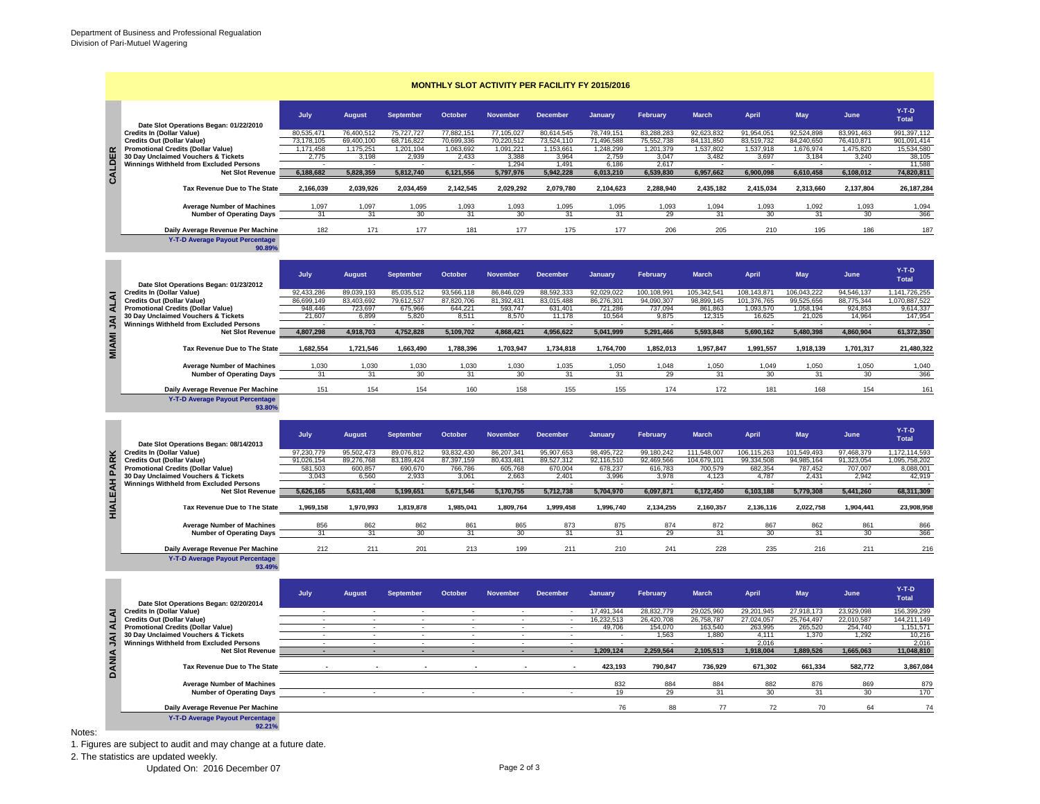| <b>MONTHLY SLOT ACTIVITY PER FACILITY FY 2015/2016</b> |                                                                                                    |                          |                          |                          |                          |                          |                          |                          |                           |                           |                            |                           |                          |                                |
|--------------------------------------------------------|----------------------------------------------------------------------------------------------------|--------------------------|--------------------------|--------------------------|--------------------------|--------------------------|--------------------------|--------------------------|---------------------------|---------------------------|----------------------------|---------------------------|--------------------------|--------------------------------|
|                                                        | Date Slot Operations Began: 01/22/2010                                                             | July                     | <b>August</b>            | September                | October                  | <b>November</b>          | <b>December</b>          | January                  | February                  | <b>March</b>              | <b>April</b>               | <b>May</b>                | June                     | $Y-T-D$<br><b>Total</b>        |
|                                                        | <b>Credits In (Dollar Value)</b>                                                                   | 80,535,471               | 76,400,512               | 75,727,727               | 77,882,151               | 77,105,027               | 80,614,545               | 78,749,151               | 83,288,283                | 92,623,832                | 91,954,051                 | 92,524,898                | 83,991,463               | 991,397,112                    |
|                                                        | <b>Credits Out (Dollar Value)</b><br><b>Promotional Credits (Dollar Value)</b>                     | 73,178,105<br>1,171,458  | 69,400,100<br>1,175,251  | 68,716,822<br>1,201,104  | 70,699,336<br>1,063,692  | 70,220,512<br>1,091,221  | 73,524,110<br>1,153,661  | 71,496,588<br>1,248,299  | 75,552,738<br>1,201,379   | 84, 131, 850<br>1,537,802 | 83,519,732<br>1,537,918    | 84,240,650<br>1,676,974   | 76,410,871<br>1,475,820  | 901,091,414<br>15,534,580      |
|                                                        | 30 Day Unclaimed Vouchers & Tickets                                                                | 2,775                    | 3,198                    | 2,939                    | 2,433                    | 3,388                    | 3,964                    | 2,759                    | 3,047                     | 3,482                     | 3,697                      | 3,184                     | 3,240                    | 38,105                         |
|                                                        | Winnings Withheld from Excluded Persons<br><b>Net Slot Revenue</b>                                 | 6,188,682                | 5,828,359                | 5,812,740                | 6,121,556                | 1.294<br>5,797,976       | 1.491<br>5,942,228       | 6.186<br>6,013,210       | 2.617<br>6,539,830        | 6,957,662                 | 6,900,098                  | 6,610,458                 | 6,108,012                | 11.588<br>74,820,811           |
| CALDER                                                 |                                                                                                    |                          |                          |                          |                          |                          |                          |                          |                           |                           |                            |                           |                          |                                |
|                                                        | Tax Revenue Due to The State                                                                       | 2,166,039                | 2,039,926                | 2,034,459                | 2,142,545                | 2,029,292                | 2,079,780                | 2,104,623                | 2,288,940                 | 2,435,182                 | 2,415,034                  | 2,313,660                 | 2,137,804                | 26, 187, 284                   |
|                                                        | <b>Average Number of Machines</b><br><b>Number of Operating Days</b>                               | 1,097<br>31              | 1,097<br>31              | 1,095<br>30              | 1,093<br>31              | 1,093<br>30              | 1,095<br>31              | 1,095<br>31              | 1,093<br>29               | 1,094<br>31               | 1,093<br>30                | 1,092<br>31               | 1,093<br>30              | 1,094<br>366                   |
|                                                        | Daily Average Revenue Per Machine                                                                  | 182                      | 171                      | 177                      | 181                      | 177                      | 175                      | 177                      | 206                       | 205                       | 210                        | 195                       | 186                      | 187                            |
|                                                        | Y-T-D Average Payout Percentage<br>90.89%                                                          |                          |                          |                          |                          |                          |                          |                          |                           |                           |                            |                           |                          |                                |
|                                                        | Date Slot Operations Began: 01/23/2012                                                             | July                     | <b>August</b>            | September                | October                  | <b>November</b>          | <b>December</b>          | January                  | February                  | <b>March</b>              | April                      | <b>May</b>                | June                     | $Y-T-D$<br><b>Total</b>        |
|                                                        | <b>Credits In (Dollar Value)</b><br><b>Credits Out (Dollar Value)</b>                              | 92,433,286<br>86.699.149 | 89,039,193<br>83.403.692 | 85,035,512<br>79.612.537 | 93,566,118<br>87.820.706 | 86,846,029<br>81.392.431 | 88,592,333<br>83.015.488 | 92,029,022<br>86.276.301 | 100,108,991<br>94.090.307 | 105,342,541<br>98.899.145 | 108,143,871<br>101,376,765 | 106,043,222<br>99,525,656 | 94,546,137<br>88,775,344 | 1.141.726.255<br>1.070.887.522 |
| <b>ALAI</b>                                            | <b>Promotional Credits (Dollar Value)</b>                                                          | 948,446                  | 723,697                  | 675,966                  | 644,221                  | 593,747                  | 631,401                  | 721,286                  | 737,094                   | 861,863                   | 1,093,570                  | 1,058,194                 | 924,853                  | 9,614,337                      |
|                                                        | 30 Day Unclaimed Vouchers & Tickets                                                                | 21,607                   | 6,899                    | 5,820                    | 8,511                    | 8,570                    | 11,178                   | 10,564                   | 9,875                     | 12,315                    | 16,625                     | 21,026                    | 14,964                   | 147,954                        |
| <b>IAU IMAIN</b>                                       | Winnings Withheld from Excluded Persons<br><b>Net Slot Revenue</b>                                 | 4,807,298                | 4,918,703                | 4,752,828                | 5,109,702                | 4,868,421                | 4,956,622                | 5,041,999                | 5,291,466                 | 5,593,848                 | 5,690,162                  | 5,480,398                 | 4,860,904                | 61,372,350                     |
|                                                        | Tax Revenue Due to The State                                                                       | 1,682,554                | 1,721,546                | 1,663,490                | 1,788,396                | 1,703,947                | 1,734,818                | 1,764,700                | 1,852,013                 | 1,957,847                 | 1,991,557                  | 1,918,139                 | 1,701,317                | 21,480,322                     |
|                                                        | <b>Average Number of Machines</b><br><b>Number of Operating Days</b>                               | 1,030<br>31              | 1,030<br>31              | 1,030<br>30              | 1,030<br>31              | 1,030<br>30              | 1,035<br>31              | 1,050<br>31              | 1,048<br>29               | 1,050<br>31               | 1,049<br>30                | 1,050<br>31               | 1,050<br>30              | 1,040<br>366                   |
|                                                        | Daily Average Revenue Per Machine                                                                  | 151                      | 154                      | 154                      | 160                      | 158                      | 155                      | 155                      | 174                       | 172                       | 181                        | 168                       | 154                      | 161                            |
|                                                        | Y-T-D Average Payout Percentage<br>93.80%                                                          |                          |                          |                          |                          |                          |                          |                          |                           |                           |                            |                           |                          |                                |
|                                                        | Date Slot Operations Began: 08/14/2013<br><b>Credits In (Dollar Value)</b>                         | July                     | <b>August</b>            | September                | October                  | <b>November</b>          | <b>December</b>          | January                  | February                  | <b>March</b>              | <b>April</b>               | <b>May</b>                | June                     | $Y-T-D$<br><b>Total</b>        |
|                                                        |                                                                                                    | 97,230,779               | 95,502,473               | 89,076,812               | 93,832,430               | 86,207,341               | 95,907,653               | 98,495,722               | 99,180,242                | 111,548,007               | 106, 115, 263              | 101,549,493               | 97,468,379               | 1,172,114,593                  |
|                                                        | <b>Credits Out (Dollar Value)</b><br><b>Promotional Credits (Dollar Value)</b>                     | 91,026,154<br>581,503    | 89,276,768<br>600,857    | 83,189,424<br>690,670    | 87,397,159<br>766,786    | 80,433,481<br>605,768    | 89,527,312<br>670,004    | 92,116,510<br>678,237    | 92,469,566<br>616,783     | 104,679,101<br>700,579    | 99,334,508<br>682,354      | 94,985,164<br>787,452     | 91,323,054<br>707,007    | 1,095,758,202<br>8,088,001     |
|                                                        | 30 Day Unclaimed Vouchers & Tickets                                                                | 3,043                    | 6,560                    | 2,933                    | 3,061                    | 2,663                    | 2,401                    | 3,996                    | 3,978                     | 4,123                     | 4,787                      | 2,431                     | 2,942                    | 42,919                         |
|                                                        | Winnings Withheld from Excluded Persons<br><b>Net Slot Revenue</b><br>Tax Revenue Due to The State |                          |                          |                          |                          |                          |                          |                          |                           |                           |                            |                           |                          |                                |
| <b>HIALEAH PARK</b>                                    |                                                                                                    | 5,626,165<br>1.969.158   | 5,631,408<br>1,970,993   | 5,199,651<br>1.819.878   | 5,671,546<br>1,985,041   | 5,170,755<br>1,809,764   | 5,712,738<br>1.999.458   | 5,704,970<br>1,996,740   | 6,097,871<br>2,134,255    | 6,172,450<br>2,160,357    | 6,103,188<br>2,136,116     | 5,779,308<br>2,022,758    | 5,441,260<br>1.904.441   | 68,311,309<br>23,908,958       |
|                                                        | <b>Average Number of Machines</b>                                                                  | 856                      | 862                      | 862                      | 861                      | 865                      | 873                      | 875                      | 874                       | 872                       | 867                        | 862                       | 861                      | 866                            |
|                                                        | <b>Number of Operating Days</b>                                                                    | 31                       | 31                       | 30                       | 31                       | 30                       | 31                       | 31                       | 29                        | 31                        | 30                         | 31                        | 30                       | 366                            |
|                                                        | Daily Average Revenue Per Machine<br><b>Y-T-D Average Payout Percentage</b><br>93.49%              | 212                      | 211                      | 201                      | 213                      | 199                      | 211                      | 210                      | 241                       | 228                       | 235                        | 216                       | 211                      | 216                            |
|                                                        | Date Slot Operations Began: 02/20/2014                                                             | July                     | <b>August</b>            | <b>September</b>         | October                  | <b>November</b>          | <b>December</b>          | January                  | February                  | <b>March</b>              | <b>April</b>               | <b>May</b>                | June                     | $Y-T-D$<br><b>Total</b>        |
|                                                        | <b>Credits In (Dollar Value)</b><br><b>Credits Out (Dollar Value)</b>                              |                          |                          |                          |                          |                          |                          | 17,491,344<br>16,232,513 | 28,832,779<br>26,420,708  | 29,025,960<br>26,758,787  | 29,201,945<br>27,024,057   | 27,918,173<br>25,764,497  | 23,929,098<br>22,010,587 | 156,399,299<br>144,211,149     |
| ALAI                                                   | <b>Promotional Credits (Dollar Value)</b>                                                          | $\sim$                   | $\sim$                   | $\overline{\phantom{a}}$ | $\overline{\phantom{a}}$ | $\overline{\phantom{a}}$ | $\sim$                   | 49,706                   | 154,070                   | 163,540                   | 263,995                    | 265,520                   | 254,740                  | 1,151,571                      |
|                                                        | 30 Day Unclaimed Vouchers & Tickets                                                                | $\sim$                   | $\overline{\phantom{a}}$ | $\sim$                   | $\overline{\phantom{a}}$ |                          | $\sim$                   |                          | 1,563                     | 1,880                     | 4,111                      | 1,370                     | 1,292                    | 10,216                         |
|                                                        | Winnings Withheld from Excluded Persons<br><b>Net Slot Revenue</b>                                 |                          | ٠                        | $\sim$                   | ٠                        | $\sim$                   | $\sim$                   | 1,209,124                | 2.259.564                 | 2,105,513                 | 2,016<br>1.918.004         | 1.889.526                 | 1,665,063                | 2,016<br>11,048,810            |
| <b>DANIA JAI</b>                                       | Tax Revenue Due to The State                                                                       |                          |                          |                          |                          |                          |                          | 423,193                  | 790,847                   | 736,929                   | 671,302                    | 661,334                   | 582,772                  | 3,867,084                      |
|                                                        | <b>Average Number of Machines</b>                                                                  |                          |                          |                          |                          |                          |                          | 832                      | 884                       | 884                       | 882                        | 876                       | 869                      | 879                            |
|                                                        | <b>Number of Operating Days</b>                                                                    |                          |                          |                          |                          |                          |                          | 19                       | 29                        | 31                        | 30                         | 31                        | 30                       | 170                            |
|                                                        | Daily Average Revenue Per Machine                                                                  |                          |                          |                          |                          |                          |                          | 76                       | 88                        | 77                        | 72                         | 70                        | 64                       | 74                             |
|                                                        | Y-T-D Average Payout Percentage<br>92.21%                                                          |                          |                          |                          |                          |                          |                          |                          |                           |                           |                            |                           |                          |                                |

## Notes:

1. Figures are subject to audit and may change at a future date.

2. The statistics are updated weekly.

Updated On: 2016 December 07 Page 2 of 3